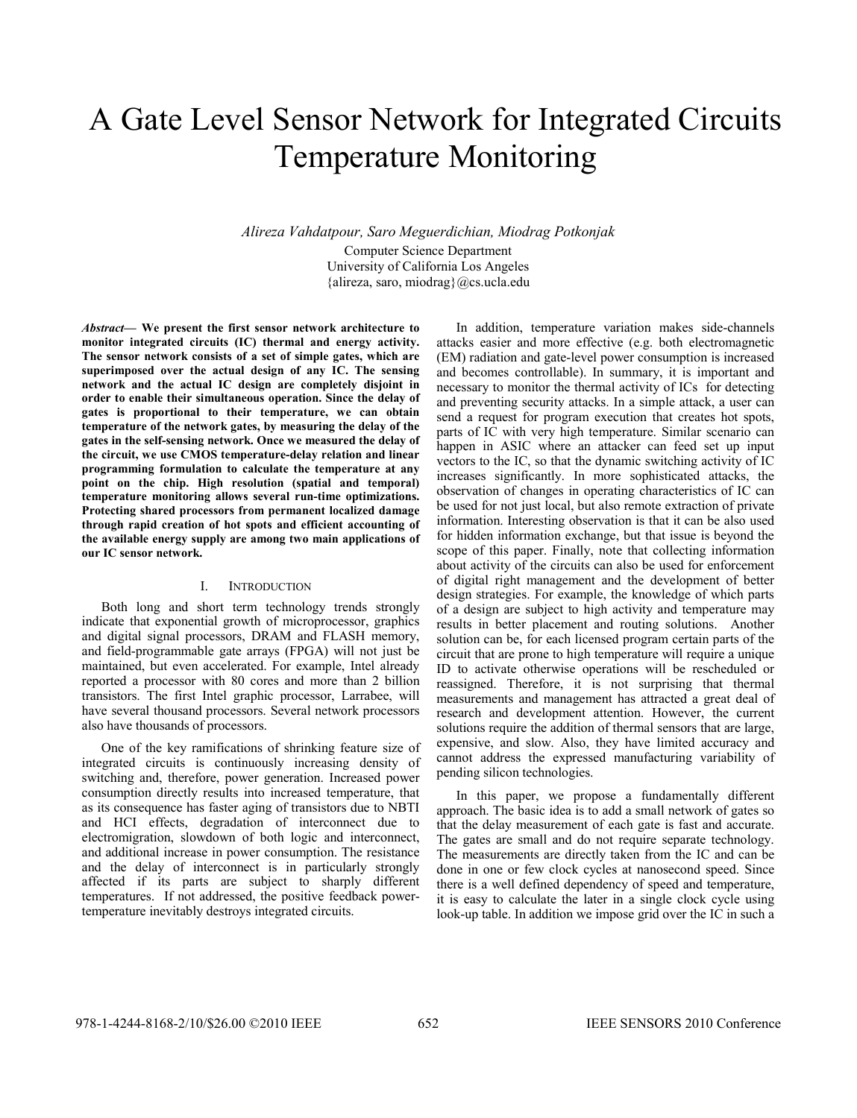# A Gate Level Sensor Network for Integrated Circuits Temperature Monitoring

*Alireza Vahdatpour, Saro Meguerdichian, Miodrag Potkonjak* Computer Science Department University of California Los Angeles {alireza, saro, miodrag}@cs.ucla.edu

*Abstract***— We present the first sensor network architecture to monitor integrated circuits (IC) thermal and energy activity. The sensor network consists of a set of simple gates, which are superimposed over the actual design of any IC. The sensing network and the actual IC design are completely disjoint in order to enable their simultaneous operation. Since the delay of gates is proportional to their temperature, we can obtain temperature of the network gates, by measuring the delay of the gates in the self-sensing network. Once we measured the delay of the circuit, we use CMOS temperature-delay relation and linear programming formulation to calculate the temperature at any point on the chip. High resolution (spatial and temporal) temperature monitoring allows several run-time optimizations. Protecting shared processors from permanent localized damage through rapid creation of hot spots and efficient accounting of the available energy supply are among two main applications of our IC sensor network.** 

#### I. INTRODUCTION

Both long and short term technology trends strongly indicate that exponential growth of microprocessor, graphics and digital signal processors, DRAM and FLASH memory, and field-programmable gate arrays (FPGA) will not just be maintained, but even accelerated. For example, Intel already reported a processor with 80 cores and more than 2 billion transistors. The first Intel graphic processor, Larrabee, will have several thousand processors. Several network processors also have thousands of processors.

One of the key ramifications of shrinking feature size of integrated circuits is continuously increasing density of switching and, therefore, power generation. Increased power consumption directly results into increased temperature, that as its consequence has faster aging of transistors due to NBTI and HCI effects, degradation of interconnect due to electromigration, slowdown of both logic and interconnect, and additional increase in power consumption. The resistance and the delay of interconnect is in particularly strongly affected if its parts are subject to sharply different temperatures. If not addressed, the positive feedback powertemperature inevitably destroys integrated circuits.

In addition, temperature variation makes side-channels attacks easier and more effective (e.g. both electromagnetic (EM) radiation and gate-level power consumption is increased and becomes controllable). In summary, it is important and necessary to monitor the thermal activity of ICs for detecting and preventing security attacks. In a simple attack, a user can send a request for program execution that creates hot spots, parts of IC with very high temperature. Similar scenario can happen in ASIC where an attacker can feed set up input vectors to the IC, so that the dynamic switching activity of IC increases significantly. In more sophisticated attacks, the observation of changes in operating characteristics of IC can be used for not just local, but also remote extraction of private information. Interesting observation is that it can be also used for hidden information exchange, but that issue is beyond the scope of this paper. Finally, note that collecting information about activity of the circuits can also be used for enforcement of digital right management and the development of better design strategies. For example, the knowledge of which parts of a design are subject to high activity and temperature may results in better placement and routing solutions. Another solution can be, for each licensed program certain parts of the circuit that are prone to high temperature will require a unique ID to activate otherwise operations will be rescheduled or reassigned. Therefore, it is not surprising that thermal measurements and management has attracted a great deal of research and development attention. However, the current solutions require the addition of thermal sensors that are large, expensive, and slow. Also, they have limited accuracy and cannot address the expressed manufacturing variability of pending silicon technologies.

In this paper, we propose a fundamentally different approach. The basic idea is to add a small network of gates so that the delay measurement of each gate is fast and accurate. The gates are small and do not require separate technology. The measurements are directly taken from the IC and can be done in one or few clock cycles at nanosecond speed. Since there is a well defined dependency of speed and temperature, it is easy to calculate the later in a single clock cycle using look-up table. In addition we impose grid over the IC in such a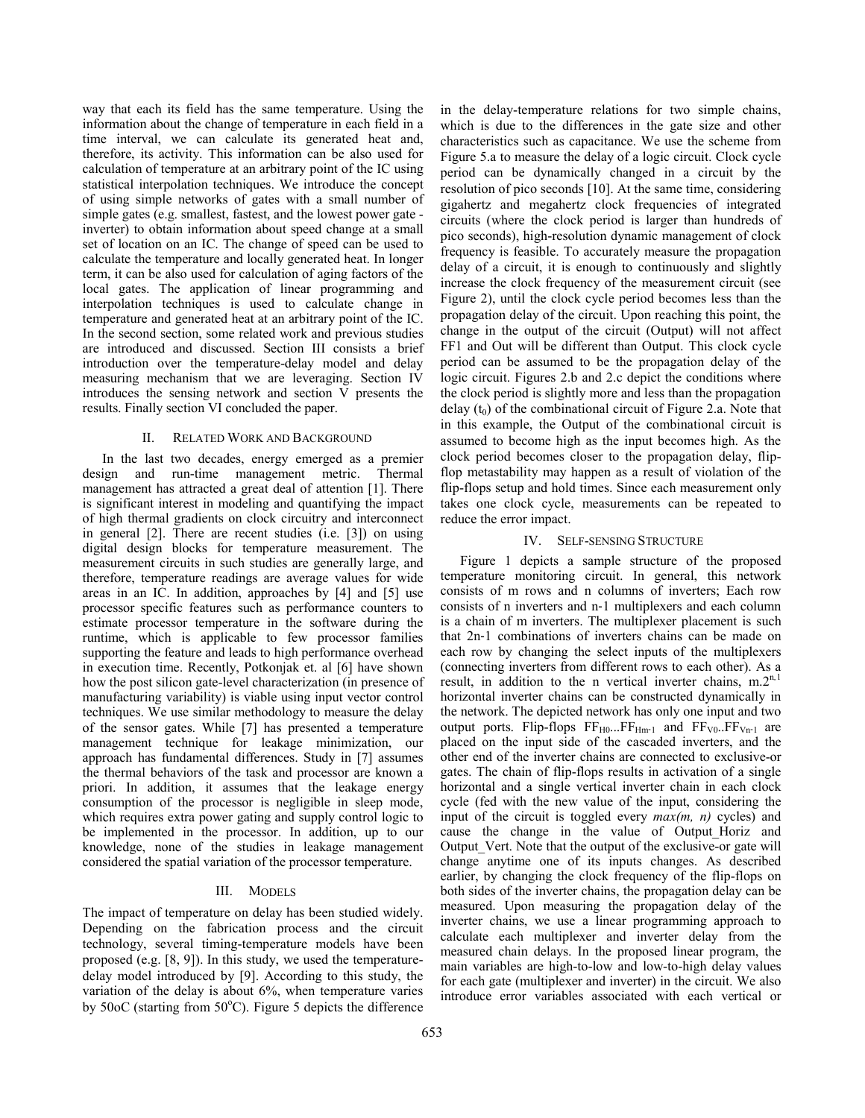way that each its field has the same temperature. Using the information about the change of temperature in each field in a time interval, we can calculate its generated heat and, therefore, its activity. This information can be also used for calculation of temperature at an arbitrary point of the IC using statistical interpolation techniques. We introduce the concept of using simple networks of gates with a small number of simple gates (e.g. smallest, fastest, and the lowest power gate inverter) to obtain information about speed change at a small set of location on an IC. The change of speed can be used to calculate the temperature and locally generated heat. In longer term, it can be also used for calculation of aging factors of the local gates. The application of linear programming and interpolation techniques is used to calculate change in temperature and generated heat at an arbitrary point of the IC. In the second section, some related work and previous studies are introduced and discussed. Section III consists a brief introduction over the temperature-delay model and delay measuring mechanism that we are leveraging. Section IV introduces the sensing network and section V presents the results. Finally section VI concluded the paper.

## II. RELATED WORK AND BACKGROUND

In the last two decades, energy emerged as a premier design and run-time management metric. Thermal management has attracted a great deal of attention [1]. There is significant interest in modeling and quantifying the impact of high thermal gradients on clock circuitry and interconnect in general [2]. There are recent studies (i.e. [3]) on using digital design blocks for temperature measurement. The measurement circuits in such studies are generally large, and therefore, temperature readings are average values for wide areas in an IC. In addition, approaches by [4] and [5] use processor specific features such as performance counters to estimate processor temperature in the software during the runtime, which is applicable to few processor families supporting the feature and leads to high performance overhead in execution time. Recently, Potkonjak et. al [6] have shown how the post silicon gate-level characterization (in presence of manufacturing variability) is viable using input vector control techniques. We use similar methodology to measure the delay of the sensor gates. While [7] has presented a temperature management technique for leakage minimization, our approach has fundamental differences. Study in [7] assumes the thermal behaviors of the task and processor are known a priori. In addition, it assumes that the leakage energy consumption of the processor is negligible in sleep mode, which requires extra power gating and supply control logic to be implemented in the processor. In addition, up to our knowledge, none of the studies in leakage management considered the spatial variation of the processor temperature.

# III. MODELS

The impact of temperature on delay has been studied widely. Depending on the fabrication process and the circuit technology, several timing-temperature models have been proposed (e.g. [8, 9]). In this study, we used the temperaturedelay model introduced by [9]. According to this study, the variation of the delay is about 6%, when temperature varies by  $50\text{oC}$  (starting from  $50\text{oC}$ ). Figure 5 depicts the difference

in the delay-temperature relations for two simple chains, which is due to the differences in the gate size and other characteristics such as capacitance. We use the scheme from Figure 5.a to measure the delay of a logic circuit. Clock cycle period can be dynamically changed in a circuit by the resolution of pico seconds [10]. At the same time, considering gigahertz and megahertz clock frequencies of integrated circuits (where the clock period is larger than hundreds of pico seconds), high-resolution dynamic management of clock frequency is feasible. To accurately measure the propagation delay of a circuit, it is enough to continuously and slightly increase the clock frequency of the measurement circuit (see Figure 2), until the clock cycle period becomes less than the propagation delay of the circuit. Upon reaching this point, the change in the output of the circuit (Output) will not affect FF1 and Out will be different than Output. This clock cycle period can be assumed to be the propagation delay of the logic circuit. Figures 2.b and 2.c depict the conditions where the clock period is slightly more and less than the propagation delay  $(t_0)$  of the combinational circuit of Figure 2.a. Note that in this example, the Output of the combinational circuit is assumed to become high as the input becomes high. As the clock period becomes closer to the propagation delay, flipflop metastability may happen as a result of violation of the flip-flops setup and hold times. Since each measurement only takes one clock cycle, measurements can be repeated to reduce the error impact.

# IV. SELF-SENSING STRUCTURE

Figure 1 depicts a sample structure of the proposed temperature monitoring circuit. In general, this network consists of m rows and n columns of inverters; Each row consists of n inverters and n-1 multiplexers and each column is a chain of m inverters. The multiplexer placement is such that 2n-1 combinations of inverters chains can be made on each row by changing the select inputs of the multiplexers (connecting inverters from different rows to each other). As a result, in addition to the n vertical inverter chains,  $m.2^{n.1}$ horizontal inverter chains can be constructed dynamically in the network. The depicted network has only one input and two output ports. Flip-flops  $FF_{H0}...FF_{Hm-1}$  and  $FF_{V0}...FF_{Vn-1}$  are placed on the input side of the cascaded inverters, and the other end of the inverter chains are connected to exclusive-or gates. The chain of flip-flops results in activation of a single horizontal and a single vertical inverter chain in each clock cycle (fed with the new value of the input, considering the input of the circuit is toggled every *max(m, n)* cycles) and cause the change in the value of Output\_Horiz and Output\_Vert. Note that the output of the exclusive-or gate will change anytime one of its inputs changes. As described earlier, by changing the clock frequency of the flip-flops on both sides of the inverter chains, the propagation delay can be measured. Upon measuring the propagation delay of the inverter chains, we use a linear programming approach to calculate each multiplexer and inverter delay from the measured chain delays. In the proposed linear program, the main variables are high-to-low and low-to-high delay values for each gate (multiplexer and inverter) in the circuit. We also introduce error variables associated with each vertical or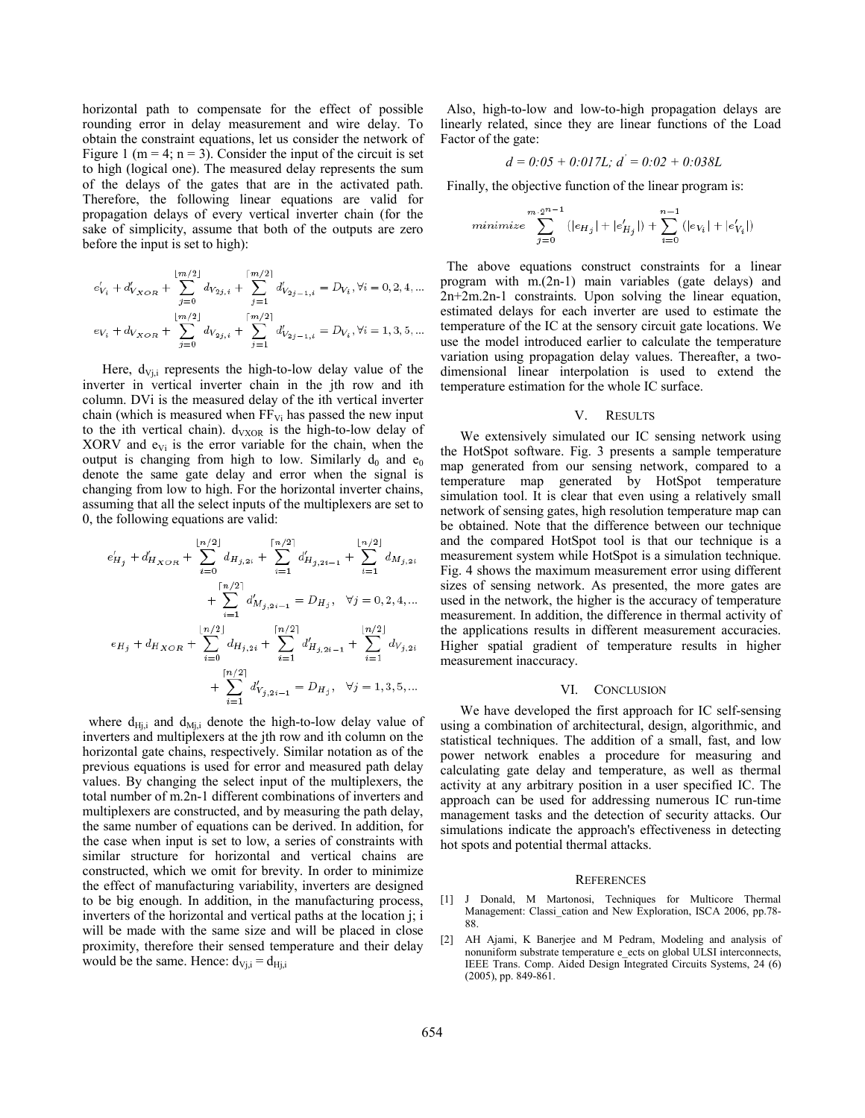horizontal path to compensate for the effect of possible rounding error in delay measurement and wire delay. To obtain the constraint equations, let us consider the network of Figure 1 ( $m = 4$ ;  $n = 3$ ). Consider the input of the circuit is set to high (logical one). The measured delay represents the sum of the delays of the gates that are in the activated path. Therefore, the following linear equations are valid for propagation delays of every vertical inverter chain (for the sake of simplicity, assume that both of the outputs are zero before the input is set to high):

$$
\begin{split} e'_{V_i} + d'_{XOR} + \sum_{j=0}^{\lfloor m/2 \rfloor} d_{V_{2j,i}} + \sum_{j=1}^{\lceil m/2 \rceil} d'_{V_{2j-1,i}} &= D_{V_i}, \forall i=0,2,4,... \\ e_{V_i} + d_{V_{XOR}} + \sum_{j=0}^{\lfloor m/2 \rfloor} d_{V_{2j,i}} + \sum_{j=1}^{\lceil m/2 \rceil} d'_{V_{2j-1,i}} &= D_{V_i}, \forall i=1,3,5,... \end{split}
$$

Here,  $d_{Vj,i}$  represents the high-to-low delay value of the inverter in vertical inverter chain in the jth row and ith column. DVi is the measured delay of the ith vertical inverter chain (which is measured when  $FF_{Vi}$  has passed the new input to the ith vertical chain).  $d_{VXOR}$  is the high-to-low delay of XORV and  $e_{Vi}$  is the error variable for the chain, when the output is changing from high to low. Similarly  $d_0$  and  $e_0$ denote the same gate delay and error when the signal is changing from low to high. For the horizontal inverter chains, assuming that all the select inputs of the multiplexers are set to 0, the following equations are valid:

$$
\begin{split} e'_{H_j} + d'_{H_{XOR}} + \sum_{i=0}^{\lfloor n/2 \rfloor} d_{H_{j,2i}} + \sum_{i=1}^{\lceil n/2 \rceil} d'_{H_{j,2i-1}} + \sum_{i=1}^{\lfloor n/2 \rfloor} d_{M_{j,2i}} \\ &+ \sum_{i=1}^{\lceil n/2 \rceil} d'_{M_{j,2i-1}} = D_{H_j}, \ \ \forall j=0,2,4,... \\ e_{H_j} + d_{H_{XOR}} + \sum_{i=0}^{\lfloor n/2 \rfloor} d_{H_{j,2i}} + \sum_{i=1}^{\lceil n/2 \rceil} d'_{H_{j,2i-1}} + \sum_{i=1}^{\lfloor n/2 \rfloor} d_{V_{j,2i}} \\ &+ \sum_{i=1}^{\lceil n/2 \rceil} d'_{V_{j,2i-1}} = D_{H_j}, \ \ \forall j=1,3,5,... \end{split}
$$

where  $d_{Hj,i}$  and  $d_{Mj,i}$  denote the high-to-low delay value of inverters and multiplexers at the jth row and ith column on the horizontal gate chains, respectively. Similar notation as of the previous equations is used for error and measured path delay values. By changing the select input of the multiplexers, the total number of m.2n-1 different combinations of inverters and multiplexers are constructed, and by measuring the path delay, the same number of equations can be derived. In addition, for the case when input is set to low, a series of constraints with similar structure for horizontal and vertical chains are constructed, which we omit for brevity. In order to minimize the effect of manufacturing variability, inverters are designed to be big enough. In addition, in the manufacturing process, inverters of the horizontal and vertical paths at the location j; i will be made with the same size and will be placed in close proximity, therefore their sensed temperature and their delay would be the same. Hence:  $d_{Vj,i} = d_{Hj,i}$ 

Also, high-to-low and low-to-high propagation delays are linearly related, since they are linear functions of the Load Factor of the gate:

$$
d = 0.05 + 0.017L; d' = 0.02 + 0.038L
$$

Finally, the objective function of the linear program is:

$$
minimize \sum_{j=0}^{m \cdot 2^{n-1}} (|e_{H_j}| + |e'_{H_j}|) + \sum_{i=0}^{n-1} (|e_{V_i}| + |e'_{V_i}|)
$$

The above equations construct constraints for a linear program with m.(2n-1) main variables (gate delays) and 2n+2m.2n-1 constraints. Upon solving the linear equation, estimated delays for each inverter are used to estimate the temperature of the IC at the sensory circuit gate locations. We use the model introduced earlier to calculate the temperature variation using propagation delay values. Thereafter, a twodimensional linear interpolation is used to extend the temperature estimation for the whole IC surface.

## V. RESULTS

We extensively simulated our IC sensing network using the HotSpot software. Fig. 3 presents a sample temperature map generated from our sensing network, compared to a temperature map generated by HotSpot temperature simulation tool. It is clear that even using a relatively small network of sensing gates, high resolution temperature map can be obtained. Note that the difference between our technique and the compared HotSpot tool is that our technique is a measurement system while HotSpot is a simulation technique. Fig. 4 shows the maximum measurement error using different sizes of sensing network. As presented, the more gates are used in the network, the higher is the accuracy of temperature measurement. In addition, the difference in thermal activity of the applications results in different measurement accuracies. Higher spatial gradient of temperature results in higher measurement inaccuracy.

### VI. CONCLUSION

We have developed the first approach for IC self-sensing using a combination of architectural, design, algorithmic, and statistical techniques. The addition of a small, fast, and low power network enables a procedure for measuring and calculating gate delay and temperature, as well as thermal activity at any arbitrary position in a user specified IC. The approach can be used for addressing numerous IC run-time management tasks and the detection of security attacks. Our simulations indicate the approach's effectiveness in detecting hot spots and potential thermal attacks.

#### **REFERENCES**

- [1] J Donald, M Martonosi, Techniques for Multicore Thermal Management: Classi cation and New Exploration, ISCA 2006, pp.78-88.
- [2] AH Ajami, K Banerjee and M Pedram, Modeling and analysis of nonuniform substrate temperature e\_ects on global ULSI interconnects, IEEE Trans. Comp. Aided Design Integrated Circuits Systems, 24 (6) (2005), pp. 849-861.